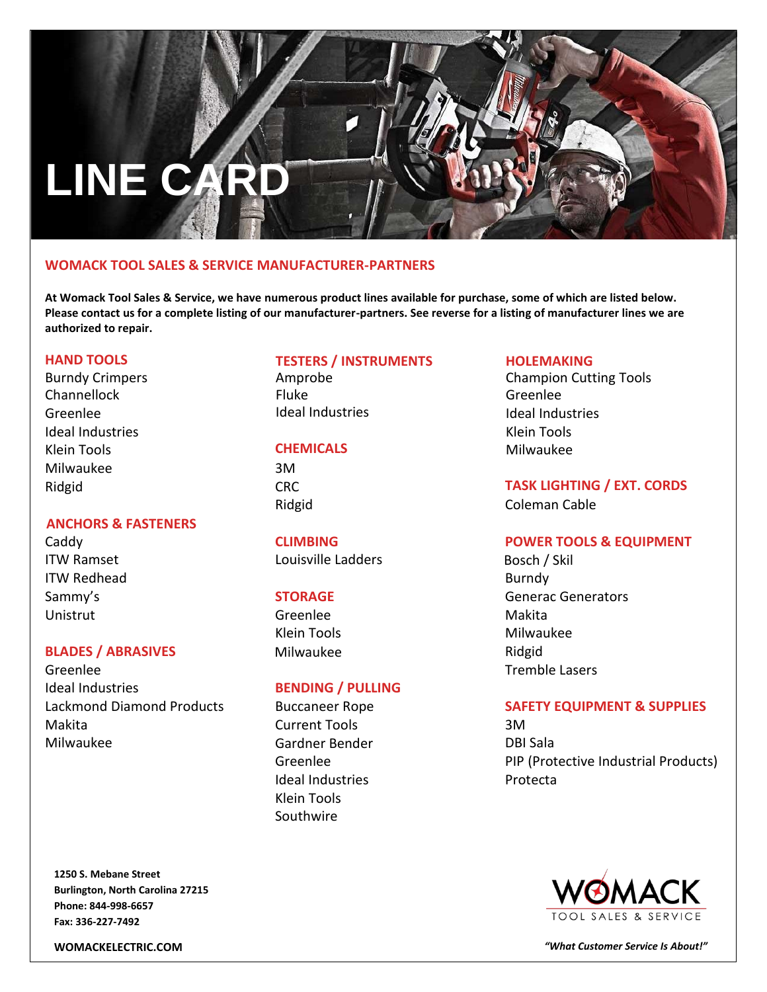# **LINE CAR**

## **WOMACK TOOL SALES & SERVICE MANUFACTURER-PARTNERS**

**At Womack Tool Sales & Service, we have numerous product lines available for purchase, some of which are listed below. Please contact us for a complete listing of our manufacturer-partners. See reverse for a listing of manufacturer lines we are authorized to repair.**

Channellock Fluke Greenlee Greenlee Ideal Industries Ideal Industries Ideal Industries **Ideal Industries Community Community Community** Community Community Community Community Community Community Comm Klein Tools **CHEMICALS CHEMICALS** Milwaukee Milwaukee 3M

## **ANCHORS & FASTENERS**

ITW Redhead Burndy and the state of the state of the Burndy Burndy Burndy Unistrut **Greenlee** Greenlee

## **BLADES / ABRASIVES** Milwaukee **Ridgid** Ridgid

Greenlee Tremble Lasers and the United States of the United States of the Tremble Lasers and Tremble Lasers and Ideal Industries **BENDING / PULLING** Makita Current Tools 3M Milwaukee Gardner Bender DBI Sala

## **HAND TOOLS TESTERS / INSTRUMENTS HOLEMAKING**

ITW Ramset **Louisville Ladders** Bosch / Skil

Ideal Industries **Protecta** Klein Tools Southwire

### **1250 S. Mebane Street Burlington, North Carolina 27215 Phone: 844-998-6657 Fax: 336-227-7492**

Burndy Crimpers **Amprobe** Amprobe Champion Cutting Tools

Ridgid CRC **TASK LIGHTING / EXT. CORDS** Ridgid **Coleman Cable** 

### Caddy **CLIMBING POWER TOOLS & EQUIPMENT**

Sammy's **STORAGE** Strange Generators **STORAGE Generators** Generators **Generators** Klein Tools **Milwaukee** 

## Lackmond Diamond Products Buccaneer Rope **SAFETY EQUIPMENT & SUPPLIES**

Greenlee **PIP** (Protective Industrial Products)